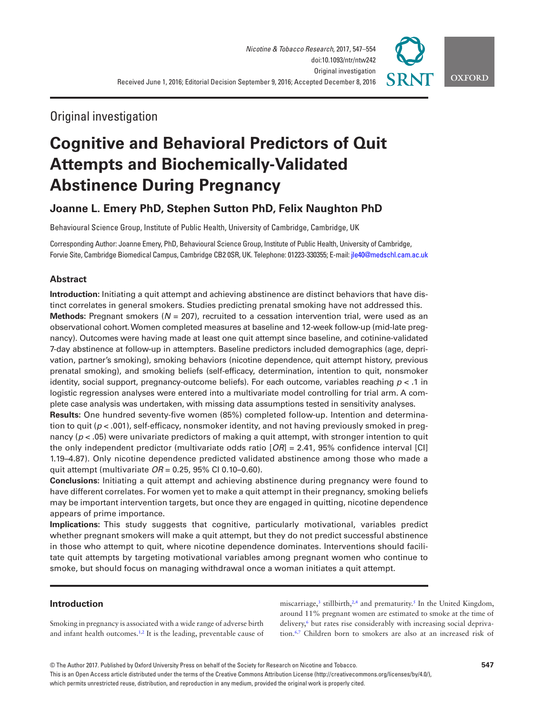

Original investigation

# **Cognitive and Behavioral Predictors of Quit Attempts and Biochemically-Validated Abstinence During Pregnancy**

## **Joanne L. Emery PhD, Stephen Sutton PhD, Felix Naughton PhD**

Behavioural Science Group, Institute of Public Health, University of Cambridge, Cambridge, UK

Corresponding Author: Joanne Emery, PhD, Behavioural Science Group, Institute of Public Health, University of Cambridge, Forvie Site, Cambridge Biomedical Campus, Cambridge CB2 0SR, UK. Telephone: 01223-330355; E-mail: [jle40@medschl.cam.ac.uk](mailto:jle40@medschl.cam.ac.uk?subject=)

## **Abstract**

**Introduction:** Initiating a quit attempt and achieving abstinence are distinct behaviors that have distinct correlates in general smokers. Studies predicting prenatal smoking have not addressed this. **Methods:** Pregnant smokers (N = 207), recruited to a cessation intervention trial, were used as an observational cohort. Women completed measures at baseline and 12-week follow-up (mid-late pregnancy). Outcomes were having made at least one quit attempt since baseline, and cotinine-validated 7-day abstinence at follow-up in attempters. Baseline predictors included demographics (age, deprivation, partner's smoking), smoking behaviors (nicotine dependence, quit attempt history, previous prenatal smoking), and smoking beliefs (self-efficacy, determination, intention to quit, nonsmoker identity, social support, pregnancy-outcome beliefs). For each outcome, variables reaching *p* < .1 in logistic regression analyses were entered into a multivariate model controlling for trial arm. A complete case analysis was undertaken, with missing data assumptions tested in sensitivity analyses.

**Results:** One hundred seventy-five women (85%) completed follow-up. Intention and determination to quit (*p* < .001), self-efficacy, nonsmoker identity, and not having previously smoked in pregnancy ( $p < .05$ ) were univariate predictors of making a quit attempt, with stronger intention to quit the only independent predictor (multivariate odds ratio [*OR*] = 2.41, 95% confidence interval [CI] 1.19–4.87). Only nicotine dependence predicted validated abstinence among those who made a quit attempt (multivariate *OR* = 0.25, 95% CI 0.10–0.60).

**Conclusions:** Initiating a quit attempt and achieving abstinence during pregnancy were found to have different correlates. For women yet to make a quit attempt in their pregnancy, smoking beliefs may be important intervention targets, but once they are engaged in quitting, nicotine dependence appears of prime importance.

**Implications:** This study suggests that cognitive, particularly motivational, variables predict whether pregnant smokers will make a quit attempt, but they do not predict successful abstinence in those who attempt to quit, where nicotine dependence dominates. Interventions should facilitate quit attempts by targeting motivational variables among pregnant women who continue to smoke, but should focus on managing withdrawal once a woman initiates a quit attempt.

### **Introduction**

Smoking in pregnancy is associated with a wide range of adverse birth and infant health outcomes.<sup>[1](#page-6-0)[,2](#page-6-1)</sup> It is the leading, preventable cause of

miscarriage,<sup>3</sup> stillbirth,<sup>2[,4](#page-6-3)</sup> and prematurity.<sup>5</sup> In the United Kingdom, around 11% pregnant women are estimated to smoke at the time of delivery,<sup>6</sup> but rates rise considerably with increasing social deprivation.[6](#page-6-5),[7](#page-6-6) Children born to smokers are also at an increased risk of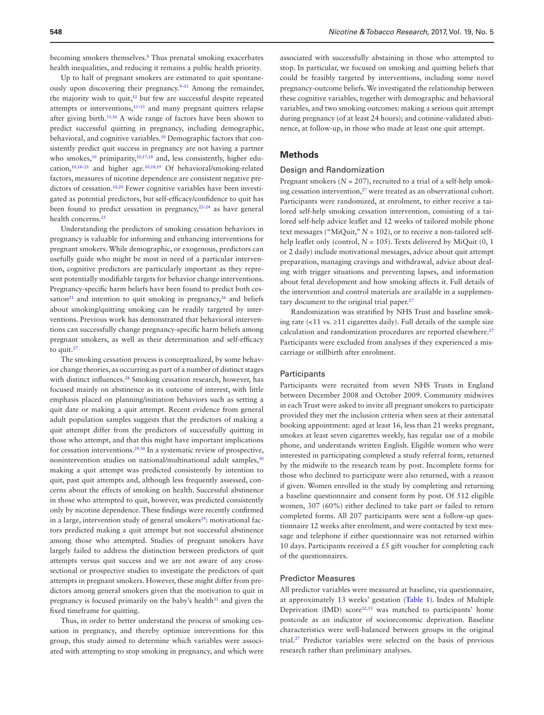becoming smokers themselves.[8](#page-6-7) Thus prenatal smoking exacerbates health inequalities, and reducing it remains a public health priority.

Up to half of pregnant smokers are estimated to quit spontaneously upon discovering their pregnancy[.9–11](#page-6-8) Among the remainder, the majority wish to quit,<sup>[12](#page-6-9)</sup> but few are successful despite repeated attempts or interventions,<sup>13-15</sup> and many pregnant quitters relapse after giving birth.[11,](#page-6-11)[16](#page-6-12) A wide range of factors have been shown to predict successful quitting in pregnancy, including demographic, behavioral, and cognitive variables.<sup>10</sup> Demographic factors that consistently predict quit success in pregnancy are not having a partner who smokes,<sup>10</sup> primiparity,<sup>10,[17](#page-6-14),18</sup> and, less consistently, higher education[,10](#page-6-13),[18–21](#page-6-15) and higher age[.10,](#page-6-13)[18](#page-6-15)[,19](#page-6-16) Of behavioral/smoking-related factors, measures of nicotine dependence are consistent negative pre-dictors of cessation.<sup>10,[20](#page-6-17)</sup> Fewer cognitive variables have been investigated as potential predictors, but self-efficacy/confidence to quit has been found to predict cessation in pregnancy, $22-24$  as have general health concerns.<sup>[25](#page-6-19)</sup>

Understanding the predictors of smoking cessation behaviors in pregnancy is valuable for informing and enhancing interventions for pregnant smokers. While demographic, or exogenous, predictors can usefully guide who might be most in need of a particular intervention, cognitive predictors are particularly important as they represent potentially modifiable targets for behavior change interventions. Pregnancy-specific harm beliefs have been found to predict both cessation<sup>21</sup> and intention to quit smoking in pregnancy,<sup>26</sup> and beliefs about smoking/quitting smoking can be readily targeted by interventions. Previous work has demonstrated that behavioral interventions can successfully change pregnancy-specific harm beliefs among pregnant smokers, as well as their determination and self-efficacy to quit.<sup>[27](#page-6-22)</sup>

The smoking cessation process is conceptualized, by some behavior change theories, as occurring as part of a number of distinct stages with distinct influences.<sup>28</sup> Smoking cessation research, however, has focused mainly on abstinence as its outcome of interest, with little emphasis placed on planning/initiation behaviors such as setting a quit date or making a quit attempt. Recent evidence from general adult population samples suggests that the predictors of making a quit attempt differ from the predictors of successfully quitting in those who attempt, and that this might have important implications for cessation interventions[.29](#page-6-24),[30](#page-6-25) In a systematic review of prospective, nonintervention studies on national/multinational adult samples.<sup>30</sup> making a quit attempt was predicted consistently by intention to quit, past quit attempts and, although less frequently assessed, concerns about the effects of smoking on health. Successful abstinence in those who attempted to quit, however, was predicted consistently only by nicotine dependence. These findings were recently confirmed in a large, intervention study of general smokers<sup>29</sup>: motivational factors predicted making a quit attempt but not successful abstinence among those who attempted. Studies of pregnant smokers have largely failed to address the distinction between predictors of quit attempts versus quit success and we are not aware of any crosssectional or prospective studies to investigate the predictors of quit attempts in pregnant smokers. However, these might differ from predictors among general smokers given that the motivation to quit in pregnancy is focused primarily on the baby's health<sup>31</sup> and given the fixed timeframe for quitting.

Thus, in order to better understand the process of smoking cessation in pregnancy, and thereby optimize interventions for this group, this study aimed to determine which variables were associated with attempting to stop smoking in pregnancy, and which were associated with successfully abstaining in those who attempted to stop. In particular, we focused on smoking and quitting beliefs that could be feasibly targeted by interventions, including some novel pregnancy-outcome beliefs. We investigated the relationship between these cognitive variables, together with demographic and behavioral variables, and two smoking outcomes: making a serious quit attempt during pregnancy (of at least 24 hours); and cotinine-validated abstinence, at follow-up, in those who made at least one quit attempt.

#### **Methods**

#### Design and Randomization

Pregnant smokers  $(N = 207)$ , recruited to a trial of a self-help smoking cessation intervention,<sup>27</sup> were treated as an observational cohort. Participants were randomized, at enrolment, to either receive a tailored self-help smoking cessation intervention, consisting of a tailored self-help advice leaflet and 12 weeks of tailored mobile phone text messages ("MiQuit,"  $N = 102$ ), or to receive a non-tailored selfhelp leaflet only (control,  $N = 105$ ). Texts delivered by MiQuit (0, 1) or 2 daily) include motivational messages, advice about quit attempt preparation, managing cravings and withdrawal, advice about dealing with trigger situations and preventing lapses, and information about fetal development and how smoking affects it. Full details of the intervention and control materials are available in a supplemen-tary document to the original trial paper.<sup>[27](#page-6-22)</sup>

Randomization was stratified by NHS Trust and baseline smoking rate (<11 vs. ≥11 cigarettes daily). Full details of the sample size calculation and randomization procedures are reported elsewhere.<sup>27</sup> Participants were excluded from analyses if they experienced a miscarriage or stillbirth after enrolment.

#### **Participants**

Participants were recruited from seven NHS Trusts in England between December 2008 and October 2009. Community midwives in each Trust were asked to invite all pregnant smokers to participate provided they met the inclusion criteria when seen at their antenatal booking appointment: aged at least 16, less than 21 weeks pregnant, smokes at least seven cigarettes weekly, has regular use of a mobile phone, and understands written English. Eligible women who were interested in participating completed a study referral form, returned by the midwife to the research team by post. Incomplete forms for those who declined to participate were also returned, with a reason if given. Women enrolled in the study by completing and returning a baseline questionnaire and consent form by post. Of 512 eligible women, 307 (60%) either declined to take part or failed to return completed forms. All 207 participants were sent a follow-up questionnaire 12 weeks after enrolment, and were contacted by text message and telephone if either questionnaire was not returned within 10 days. Participants received a  $£5$  gift voucher for completing each of the questionnaires.

#### Predictor Measures

All predictor variables were measured at baseline, via questionnaire, at approximately 13 weeks' gestation [\(Table 1\)](#page-2-0). Index of Multiple Deprivation (IMD) score $32,33$  was matched to participants' home postcode as an indicator of socioeconomic deprivation. Baseline characteristics were well-balanced between groups in the original trial[.27](#page-6-22) Predictor variables were selected on the basis of previous research rather than preliminary analyses.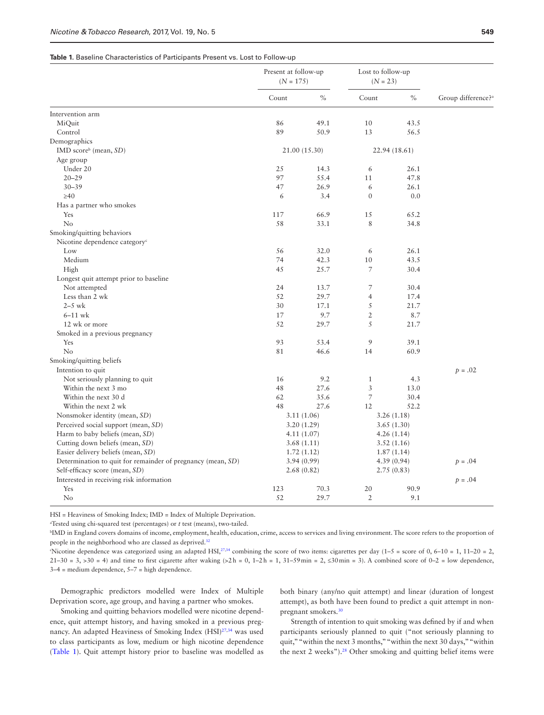<span id="page-2-0"></span>

|                                                             | Present at follow-up<br>$(N = 175)$ |               | Lost to follow-up<br>$(N = 23)$ |               |                                |
|-------------------------------------------------------------|-------------------------------------|---------------|---------------------------------|---------------|--------------------------------|
|                                                             | Count                               | $\frac{0}{0}$ | Count                           | $\%$          | Group difference? <sup>a</sup> |
| Intervention arm                                            |                                     |               |                                 |               |                                |
| MiQuit                                                      | 86                                  | 49.1          | 10                              | 43.5          |                                |
| Control                                                     | 89                                  | 50.9          | 13                              | 56.5          |                                |
| Demographics                                                |                                     |               |                                 |               |                                |
| IMD score <sup>b</sup> (mean, $SD$ )                        |                                     | 21.00 (15.30) |                                 | 22.94 (18.61) |                                |
| Age group                                                   |                                     |               |                                 |               |                                |
| Under 20                                                    | 25                                  | 14.3          | 6                               | 26.1          |                                |
| $20 - 29$                                                   | 97                                  | 55.4          | 11                              | 47.8          |                                |
| $30 - 39$                                                   | 47                                  | 26.9          | 6                               | 26.1          |                                |
| $\geq 40$                                                   | 6                                   | 3.4           | $\Omega$                        | 0.0           |                                |
| Has a partner who smokes                                    |                                     |               |                                 |               |                                |
| Yes                                                         | 117                                 | 66.9          | 15                              | 65.2          |                                |
| No                                                          | 58                                  | 33.1          | 8                               | 34.8          |                                |
| Smoking/quitting behaviors                                  |                                     |               |                                 |               |                                |
| Nicotine dependence category <sup>c</sup>                   |                                     |               |                                 |               |                                |
| Low                                                         | 56                                  | 32.0          | 6                               | 26.1          |                                |
| Medium                                                      | 74                                  | 42.3          | 10                              | 43.5          |                                |
| High                                                        | 45                                  | 25.7          | 7                               | 30.4          |                                |
| Longest quit attempt prior to baseline                      |                                     |               |                                 |               |                                |
| Not attempted                                               | 24                                  | 13.7          | $\overline{7}$                  | 30.4          |                                |
| Less than 2 wk                                              | 52                                  | 29.7          | $\overline{4}$                  | 17.4          |                                |
| $2-5$ wk                                                    | 30                                  | 17.1          | 5                               | 21.7          |                                |
| $6-11$ wk                                                   | 17                                  | 9.7           | $\overline{2}$                  | 8.7           |                                |
| 12 wk or more                                               | 52                                  | 29.7          | 5                               | 21.7          |                                |
| Smoked in a previous pregnancy                              |                                     |               |                                 |               |                                |
| Yes                                                         | 93                                  | 53.4          | 9                               | 39.1          |                                |
| No                                                          | 81                                  | 46.6          | 14                              | 60.9          |                                |
| Smoking/quitting beliefs                                    |                                     |               |                                 |               |                                |
| Intention to quit                                           |                                     |               |                                 |               | $p = .02$                      |
| Not seriously planning to quit                              | 16                                  | 9.2           | $\mathbf{1}$                    | 4.3           |                                |
| Within the next 3 mo                                        | 48                                  | 27.6          | 3                               | 13.0          |                                |
| Within the next 30 d                                        | 62                                  | 35.6          | $\overline{7}$                  | 30.4          |                                |
| Within the next 2 wk                                        | 48                                  | 27.6          | 12                              | 52.2          |                                |
| Nonsmoker identity (mean, SD)                               |                                     | 3.11(1.06)    |                                 | 3.26(1.18)    |                                |
| Perceived social support (mean, SD)                         |                                     | 3.20(1.29)    |                                 | 3.65(1.30)    |                                |
| Harm to baby beliefs (mean, SD)                             |                                     | 4.11(1.07)    |                                 | 4.26(1.14)    |                                |
| Cutting down beliefs (mean, SD)                             |                                     | 3.68(1.11)    |                                 | 3.52(1.16)    |                                |
| Easier delivery beliefs (mean, SD)                          | 1.72(1.12)                          |               | 1.87(1.14)                      |               |                                |
| Determination to quit for remainder of pregnancy (mean, SD) | 3.94(0.99)                          |               | 4.39(0.94)                      |               | $p = .04$                      |
| Self-efficacy score (mean, SD)                              |                                     | 2.68(0.82)    |                                 | 2.75(0.83)    |                                |
| Interested in receiving risk information                    |                                     |               |                                 |               | $p = .04$                      |
| Yes                                                         | 123                                 | 70.3          | 20                              | 90.9          |                                |
| No                                                          | 52                                  | 29.7          | $\mathfrak{2}$                  | 9.1           |                                |

HSI = Heaviness of Smoking Index; IMD = Index of Multiple Deprivation.

a Tested using chi-squared test (percentages) or *t* test (means), two-tailed.

b IMD in England covers domains of income, employment, health, education, crime, access to services and living environment. The score refers to the proportion of people in the neighborhood who are classed as deprived[.32](#page-6-27)

Nicotine dependence was categorized using an adapted HSI,<sup>[27](#page-6-22),34</sup> combining the score of two items: cigarettes per day  $(1-5 = \text{score of } 0, 6-10 = 1, 11-20 = 2,$  $21-30 = 3$ ,  $>30 = 4$ ) and time to first cigarette after waking  $(>2h = 0, 1-2h = 1, 31-59$  min = 2,  $\le 30$  min = 3). A combined score of 0-2 = low dependence,  $3-4$  = medium dependence,  $5-7$  = high dependence.

Demographic predictors modelled were Index of Multiple Deprivation score, age group, and having a partner who smokes.

Smoking and quitting behaviors modelled were nicotine dependence, quit attempt history, and having smoked in a previous preg-nancy. An adapted Heaviness of Smoking Index (HSI)<sup>[27](#page-6-22)[,34](#page-7-1)</sup> was used to class participants as low, medium or high nicotine dependence [\(Table 1\)](#page-2-0). Quit attempt history prior to baseline was modelled as both binary (any/no quit attempt) and linear (duration of longest attempt), as both have been found to predict a quit attempt in nonpregnant smokers[.30](#page-6-25)

Strength of intention to quit smoking was defined by if and when participants seriously planned to quit ("not seriously planning to quit," "within the next 3 months," "within the next 30 days," "within the next 2 weeks").<sup>28</sup> Other smoking and quitting belief items were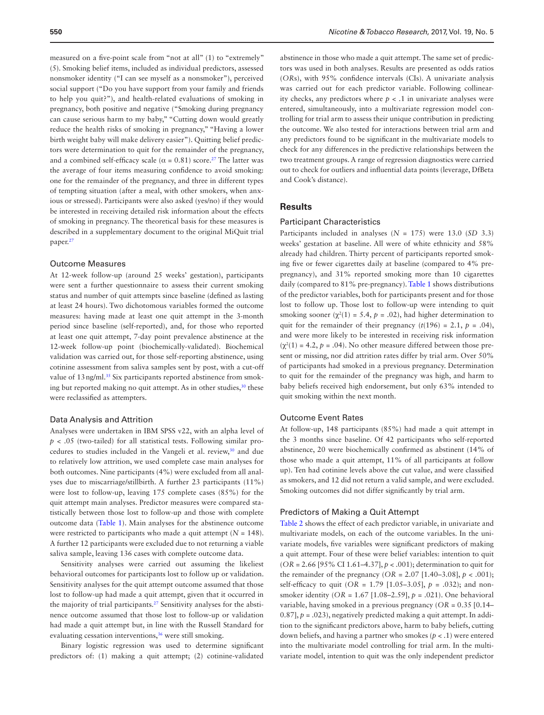measured on a five-point scale from "not at all" (1) to "extremely" (5). Smoking belief items, included as individual predictors, assessed nonsmoker identity ("I can see myself as a nonsmoker"), perceived social support ("Do you have support from your family and friends to help you quit?"), and health-related evaluations of smoking in pregnancy, both positive and negative ("Smoking during pregnancy can cause serious harm to my baby," "Cutting down would greatly reduce the health risks of smoking in pregnancy," "Having a lower birth weight baby will make delivery easier"). Quitting belief predictors were determination to quit for the remainder of the pregnancy, and a combined self-efficacy scale ( $\alpha$  = 0.81) score.<sup>27</sup> The latter was the average of four items measuring confidence to avoid smoking: one for the remainder of the pregnancy, and three in different types of tempting situation (after a meal, with other smokers, when anxious or stressed). Participants were also asked (yes/no) if they would be interested in receiving detailed risk information about the effects of smoking in pregnancy. The theoretical basis for these measures is

#### Outcome Measures

paper.[27](#page-6-22)

At 12-week follow-up (around 25 weeks' gestation), participants were sent a further questionnaire to assess their current smoking status and number of quit attempts since baseline (defined as lasting at least 24 hours). Two dichotomous variables formed the outcome measures: having made at least one quit attempt in the 3-month period since baseline (self-reported), and, for those who reported at least one quit attempt, 7-day point prevalence abstinence at the 12-week follow-up point (biochemically-validated). Biochemical validation was carried out, for those self-reporting abstinence, using cotinine assessment from saliva samples sent by post, with a cut-off value of 13 ng/ml.<sup>[35](#page-7-2)</sup> Six participants reported abstinence from smoking but reported making no quit attempt. As in other studies, $30$  these were reclassified as attempters.

described in a supplementary document to the original MiQuit trial

#### Data Analysis and Attrition

Analyses were undertaken in IBM SPSS v22, with an alpha level of *p* < .05 (two-tailed) for all statistical tests. Following similar procedures to studies included in the Vangeli et al. review,<sup>30</sup> and due to relatively low attrition, we used complete case main analyses for both outcomes. Nine participants (4%) were excluded from all analyses due to miscarriage/stillbirth. A further 23 participants (11%) were lost to follow-up, leaving 175 complete cases (85%) for the quit attempt main analyses. Predictor measures were compared statistically between those lost to follow-up and those with complete outcome data ([Table 1\)](#page-2-0). Main analyses for the abstinence outcome were restricted to participants who made a quit attempt  $(N = 148)$ . A further 12 participants were excluded due to not returning a viable saliva sample, leaving 136 cases with complete outcome data.

Sensitivity analyses were carried out assuming the likeliest behavioral outcomes for participants lost to follow up or validation. Sensitivity analyses for the quit attempt outcome assumed that those lost to follow-up had made a quit attempt, given that it occurred in the majority of trial participants.<sup>27</sup> Sensitivity analyses for the abstinence outcome assumed that those lost to follow-up or validation had made a quit attempt but, in line with the Russell Standard for evaluating cessation interventions,<sup>[36](#page-7-3)</sup> were still smoking.

Binary logistic regression was used to determine significant predictors of: (1) making a quit attempt; (2) cotinine-validated

abstinence in those who made a quit attempt. The same set of predictors was used in both analyses. Results are presented as odds ratios (*OR*s), with 95% confidence intervals (CIs). A univariate analysis was carried out for each predictor variable. Following collinearity checks, any predictors where  $p < 0.1$  in univariate analyses were entered, simultaneously, into a multivariate regression model controlling for trial arm to assess their unique contribution in predicting the outcome. We also tested for interactions between trial arm and any predictors found to be significant in the multivariate models to check for any differences in the predictive relationships between the two treatment groups. A range of regression diagnostics were carried out to check for outliers and influential data points (leverage, DfBeta and Cook's distance).

#### **Results**

#### Participant Characteristics

Participants included in analyses (*N* = 175) were 13.0 (*SD* 3.3) weeks' gestation at baseline. All were of white ethnicity and 58% already had children. Thirty percent of participants reported smoking five or fewer cigarettes daily at baseline (compared to 4% prepregnancy), and 31% reported smoking more than 10 cigarettes daily (compared to 81% pre-pregnancy). [Table 1](#page-2-0) shows distributions of the predictor variables, both for participants present and for those lost to follow up. Those lost to follow-up were intending to quit smoking sooner  $(\chi^2(1) = 5.4, p = .02)$ , had higher determination to quit for the remainder of their pregnancy  $(t(196) = 2.1, p = .04)$ , and were more likely to be interested in receiving risk information  $(\chi^2(1) = 4.2, p = .04)$ . No other measure differed between those present or missing, nor did attrition rates differ by trial arm. Over 50% of participants had smoked in a previous pregnancy. Determination to quit for the remainder of the pregnancy was high, and harm to baby beliefs received high endorsement, but only 63% intended to quit smoking within the next month.

#### Outcome Event Rates

At follow-up, 148 participants (85%) had made a quit attempt in the 3 months since baseline. Of 42 participants who self-reported abstinence, 20 were biochemically confirmed as abstinent (14% of those who made a quit attempt, 11% of all participants at follow up). Ten had cotinine levels above the cut value, and were classified as smokers, and 12 did not return a valid sample, and were excluded. Smoking outcomes did not differ significantly by trial arm.

#### Predictors of Making a Quit Attempt

[Table 2](#page-4-0) shows the effect of each predictor variable, in univariate and multivariate models, on each of the outcome variables. In the univariate models, five variables were significant predictors of making a quit attempt. Four of these were belief variables: intention to quit (*OR* = 2.66 [95% CI 1.61–4.37], *p* < .001); determination to quit for the remainder of the pregnancy  $(OR = 2.07 [1.40-3.08], p < .001)$ ; self-efficacy to quit  $(OR = 1.79$  [1.05–3.05],  $p = .032$ ); and nonsmoker identity (*OR* = 1.67 [1.08–2.59], *p* = .021). One behavioral variable, having smoked in a previous pregnancy (*OR* = 0.35 [0.14– 0.87],  $p = 0.023$ ), negatively predicted making a quit attempt. In addition to the significant predictors above, harm to baby beliefs, cutting down beliefs, and having a partner who smokes (*p* < .1) were entered into the multivariate model controlling for trial arm. In the multivariate model, intention to quit was the only independent predictor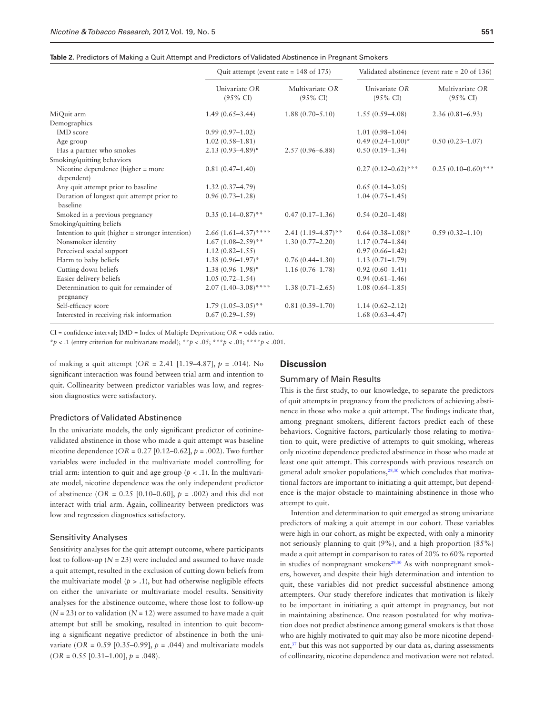<span id="page-4-0"></span>

|  |  | Table 2. Predictors of Making a Quit Attempt and Predictors of Validated Abstinence in Pregnant Smokers |
|--|--|---------------------------------------------------------------------------------------------------------|
|--|--|---------------------------------------------------------------------------------------------------------|

|                                                 | Quit attempt (event rate = $148$ of $175$ ) |                                        | Validated abstinence (event rate = 20 of 136) |                                        |  |
|-------------------------------------------------|---------------------------------------------|----------------------------------------|-----------------------------------------------|----------------------------------------|--|
|                                                 | Univariate OR<br>$(95\% \text{ CI})$        | Multivariate OR<br>$(95\% \text{ CI})$ | Univariate OR<br>$(95\% \text{ CI})$          | Multivariate OR<br>$(95\% \text{ CI})$ |  |
| MiQuit arm                                      | $1.49(0.65 - 3.44)$                         | $1.88(0.70 - 5.10)$                    | $1.55(0.59 - 4.08)$                           | $2.36(0.81 - 6.93)$                    |  |
| Demographics                                    |                                             |                                        |                                               |                                        |  |
| <b>IMD</b> score                                | $0.99(0.97 - 1.02)$                         |                                        | $1.01(0.98 - 1.04)$                           |                                        |  |
| Age group                                       | $1.02(0.58 - 1.81)$                         |                                        | $0.49(0.24 - 1.00)^*$                         | $0.50(0.23 - 1.07)$                    |  |
| Has a partner who smokes                        | $2.13(0.93 - 4.89)^*$                       | $2.57(0.96 - 6.88)$                    | $0.50(0.19 - 1.34)$                           |                                        |  |
| Smoking/quitting behaviors                      |                                             |                                        |                                               |                                        |  |
| Nicotine dependence (higher $=$ more            | $0.81(0.47-1.40)$                           |                                        | $0.27(0.12 - 0.62)$ ***                       | $0.25(0.10-0.60)$ ***                  |  |
| dependent)                                      |                                             |                                        |                                               |                                        |  |
| Any quit attempt prior to baseline              | $1.32(0.37 - 4.79)$                         |                                        | $0.65(0.14-3.05)$                             |                                        |  |
| Duration of longest quit attempt prior to       | $0.96(0.73 - 1.28)$                         |                                        | $1.04(0.75 - 1.45)$                           |                                        |  |
| baseline                                        |                                             |                                        |                                               |                                        |  |
| Smoked in a previous pregnancy                  | $0.35(0.14 - 0.87)$ **                      | $0.47(0.17-1.36)$                      | $0.54(0.20 - 1.48)$                           |                                        |  |
| Smoking/quitting beliefs                        |                                             |                                        |                                               |                                        |  |
| Intention to quit (higher = stronger intention) | $2.66(1.61 - 4.37)$ ****                    | $2.41(1.19 - 4.87)$ **                 | $0.64(0.38-1.08)^*$                           | $0.59(0.32 - 1.10)$                    |  |
| Nonsmoker identity                              | $1.67(1.08 - 2.59)$ **                      | $1.30(0.77 - 2.20)$                    | $1.17(0.74 - 1.84)$                           |                                        |  |
| Perceived social support                        | $1.12(0.82 - 1.55)$                         |                                        | $0.97(0.66 - 1.42)$                           |                                        |  |
| Harm to baby beliefs                            | $1.38(0.96 - 1.97)^*$                       | $0.76(0.44 - 1.30)$                    | $1.13(0.71 - 1.79)$                           |                                        |  |
| Cutting down beliefs                            | $1.38(0.96 - 1.98)^*$                       | $1.16(0.76 - 1.78)$                    | $0.92(0.60 - 1.41)$                           |                                        |  |
| Easier delivery beliefs                         | $1.05(0.72 - 1.54)$                         |                                        | $0.94(0.61 - 1.46)$                           |                                        |  |
| Determination to quit for remainder of          | $2.07(1.40-3.08)$ ****                      | $1.38(0.71 - 2.65)$                    | $1.08(0.64 - 1.85)$                           |                                        |  |
| pregnancy                                       |                                             |                                        |                                               |                                        |  |
| Self-efficacy score                             | $1.79(1.05-3.05)$ **                        | $0.81(0.39 - 1.70)$                    | $1.14(0.62 - 2.12)$                           |                                        |  |
| Interested in receiving risk information        | $0.67(0.29 - 1.59)$                         |                                        | $1.68(0.63 - 4.47)$                           |                                        |  |

CI = confidence interval; IMD = Index of Multiple Deprivation; *OR* = odds ratio.

\**p* < .1 (entry criterion for multivariate model); \*\**p* < .05; \*\*\**p* < .01; \*\*\*\**p* < .001.

of making a quit attempt (*OR* = 2.41 [1.19–4.87], *p* = .014). No significant interaction was found between trial arm and intention to quit. Collinearity between predictor variables was low, and regression diagnostics were satisfactory.

#### Predictors of Validated Abstinence

In the univariate models, the only significant predictor of cotininevalidated abstinence in those who made a quit attempt was baseline nicotine dependence ( $OR = 0.27$  [0.12–0.62],  $p = .002$ ). Two further variables were included in the multivariate model controlling for trial arm: intention to quit and age group  $(p < .1)$ . In the multivariate model, nicotine dependence was the only independent predictor of abstinence ( $OR = 0.25$  [0.10–0.60],  $p = .002$ ) and this did not interact with trial arm. Again, collinearity between predictors was low and regression diagnostics satisfactory.

#### Sensitivity Analyses

Sensitivity analyses for the quit attempt outcome, where participants lost to follow-up  $(N = 23)$  were included and assumed to have made a quit attempt, resulted in the exclusion of cutting down beliefs from the multivariate model  $(p > 0.1)$ , but had otherwise negligible effects on either the univariate or multivariate model results. Sensitivity analyses for the abstinence outcome, where those lost to follow-up  $(N = 23)$  or to validation  $(N = 12)$  were assumed to have made a quit attempt but still be smoking, resulted in intention to quit becoming a significant negative predictor of abstinence in both the univariate (*OR* = 0.59 [0.35–0.99],  $p = .044$ ) and multivariate models  $(OR = 0.55 [0.31-1.00], p = .048).$ 

#### **Discussion**

#### Summary of Main Results

This is the first study, to our knowledge, to separate the predictors of quit attempts in pregnancy from the predictors of achieving abstinence in those who make a quit attempt. The findings indicate that, among pregnant smokers, different factors predict each of these behaviors. Cognitive factors, particularly those relating to motivation to quit, were predictive of attempts to quit smoking, whereas only nicotine dependence predicted abstinence in those who made at least one quit attempt. This corresponds with previous research on general adult smoker populations, $29,30$  $29,30$  which concludes that motivational factors are important to initiating a quit attempt, but dependence is the major obstacle to maintaining abstinence in those who attempt to quit.

Intention and determination to quit emerged as strong univariate predictors of making a quit attempt in our cohort. These variables were high in our cohort, as might be expected, with only a minority not seriously planning to quit (9%), and a high proportion (85%) made a quit attempt in comparison to rates of 20% to 60% reported in studies of nonpregnant smokers<sup>[29](#page-6-24),30</sup> As with nonpregnant smokers, however, and despite their high determination and intention to quit, these variables did not predict successful abstinence among attempters. Our study therefore indicates that motivation is likely to be important in initiating a quit attempt in pregnancy, but not in maintaining abstinence. One reason postulated for why motivation does not predict abstinence among general smokers is that those who are highly motivated to quit may also be more nicotine dependent,<sup>37</sup> but this was not supported by our data as, during assessments of collinearity, nicotine dependence and motivation were not related.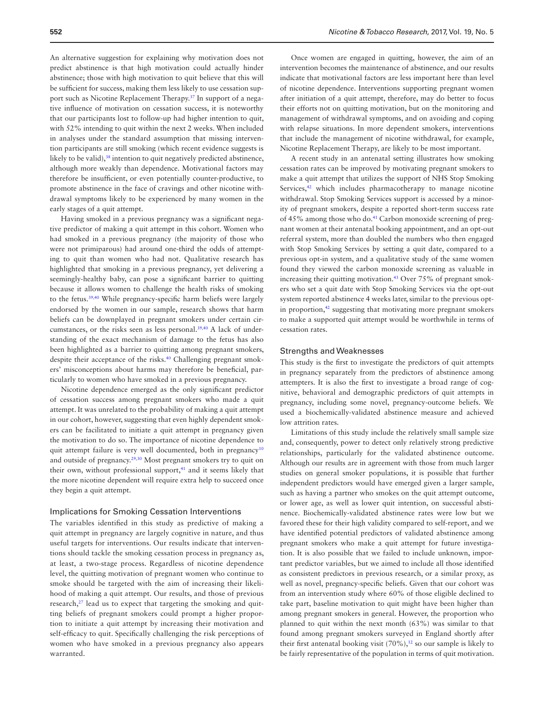An alternative suggestion for explaining why motivation does not predict abstinence is that high motivation could actually hinder abstinence; those with high motivation to quit believe that this will be sufficient for success, making them less likely to use cessation support such as Nicotine Replacement Therapy.<sup>37</sup> In support of a negative influence of motivation on cessation success, it is noteworthy that our participants lost to follow-up had higher intention to quit, with 52% intending to quit within the next 2 weeks. When included in analyses under the standard assumption that missing intervention participants are still smoking (which recent evidence suggests is likely to be valid),<sup>38</sup> intention to quit negatively predicted abstinence, although more weakly than dependence. Motivational factors may therefore be insufficient, or even potentially counter-productive, to promote abstinence in the face of cravings and other nicotine withdrawal symptoms likely to be experienced by many women in the early stages of a quit attempt.

Having smoked in a previous pregnancy was a significant negative predictor of making a quit attempt in this cohort. Women who had smoked in a previous pregnancy (the majority of those who were not primiparous) had around one-third the odds of attempting to quit than women who had not. Qualitative research has highlighted that smoking in a previous pregnancy, yet delivering a seemingly-healthy baby, can pose a significant barrier to quitting because it allows women to challenge the health risks of smoking to the fetus.<sup>[39](#page-7-6),40</sup> While pregnancy-specific harm beliefs were largely endorsed by the women in our sample, research shows that harm beliefs can be downplayed in pregnant smokers under certain circumstances, or the risks seen as less personal.<sup>39,40</sup> A lack of understanding of the exact mechanism of damage to the fetus has also been highlighted as a barrier to quitting among pregnant smokers, despite their acceptance of the risks.<sup>40</sup> Challenging pregnant smokers' misconceptions about harms may therefore be beneficial, particularly to women who have smoked in a previous pregnancy.

Nicotine dependence emerged as the only significant predictor of cessation success among pregnant smokers who made a quit attempt. It was unrelated to the probability of making a quit attempt in our cohort, however, suggesting that even highly dependent smokers can be facilitated to initiate a quit attempt in pregnancy given the motivation to do so. The importance of nicotine dependence to quit attempt failure is very well documented, both in pregnancy<sup>10</sup> and outside of pregnancy.[29,](#page-6-24)[30](#page-6-25) Most pregnant smokers try to quit on their own, without professional support,<sup>[41](#page-7-8)</sup> and it seems likely that the more nicotine dependent will require extra help to succeed once they begin a quit attempt.

#### Implications for Smoking Cessation Interventions

The variables identified in this study as predictive of making a quit attempt in pregnancy are largely cognitive in nature, and thus useful targets for interventions. Our results indicate that interventions should tackle the smoking cessation process in pregnancy as, at least, a two-stage process. Regardless of nicotine dependence level, the quitting motivation of pregnant women who continue to smoke should be targeted with the aim of increasing their likelihood of making a quit attempt. Our results, and those of previous research,<sup>[27](#page-6-22)</sup> lead us to expect that targeting the smoking and quitting beliefs of pregnant smokers could prompt a higher proportion to initiate a quit attempt by increasing their motivation and self-efficacy to quit. Specifically challenging the risk perceptions of women who have smoked in a previous pregnancy also appears warranted.

Once women are engaged in quitting, however, the aim of an intervention becomes the maintenance of abstinence, and our results indicate that motivational factors are less important here than level of nicotine dependence. Interventions supporting pregnant women after initiation of a quit attempt, therefore, may do better to focus their efforts not on quitting motivation, but on the monitoring and management of withdrawal symptoms, and on avoiding and coping with relapse situations. In more dependent smokers, interventions that include the management of nicotine withdrawal, for example, Nicotine Replacement Therapy, are likely to be most important.

A recent study in an antenatal setting illustrates how smoking cessation rates can be improved by motivating pregnant smokers to make a quit attempt that utilizes the support of NHS Stop Smoking Services,<sup>[42](#page-7-9)</sup> which includes pharmacotherapy to manage nicotine withdrawal. Stop Smoking Services support is accessed by a minority of pregnant smokers, despite a reported short-term success rate of 45% among those who do[.41](#page-7-8) Carbon monoxide screening of pregnant women at their antenatal booking appointment, and an opt-out referral system, more than doubled the numbers who then engaged with Stop Smoking Services by setting a quit date, compared to a previous opt-in system, and a qualitative study of the same women found they viewed the carbon monoxide screening as valuable in increasing their quitting motivation[.43](#page-7-10) Over 75% of pregnant smokers who set a quit date with Stop Smoking Services via the opt-out system reported abstinence 4 weeks later, similar to the previous opt-in proportion,<sup>[42](#page-7-9)</sup> suggesting that motivating more pregnant smokers to make a supported quit attempt would be worthwhile in terms of cessation rates.

#### Strengths and Weaknesses

This study is the first to investigate the predictors of quit attempts in pregnancy separately from the predictors of abstinence among attempters. It is also the first to investigate a broad range of cognitive, behavioral and demographic predictors of quit attempts in pregnancy, including some novel, pregnancy-outcome beliefs. We used a biochemically-validated abstinence measure and achieved low attrition rates.

Limitations of this study include the relatively small sample size and, consequently, power to detect only relatively strong predictive relationships, particularly for the validated abstinence outcome. Although our results are in agreement with those from much larger studies on general smoker populations, it is possible that further independent predictors would have emerged given a larger sample, such as having a partner who smokes on the quit attempt outcome, or lower age, as well as lower quit intention, on successful abstinence. Biochemically-validated abstinence rates were low but we favored these for their high validity compared to self-report, and we have identified potential predictors of validated abstinence among pregnant smokers who make a quit attempt for future investigation. It is also possible that we failed to include unknown, important predictor variables, but we aimed to include all those identified as consistent predictors in previous research, or a similar proxy, as well as novel, pregnancy-specific beliefs. Given that our cohort was from an intervention study where 60% of those eligible declined to take part, baseline motivation to quit might have been higher than among pregnant smokers in general. However, the proportion who planned to quit within the next month (63%) was similar to that found among pregnant smokers surveyed in England shortly after their first antenatal booking visit  $(70\%),$ <sup>12</sup> so our sample is likely to be fairly representative of the population in terms of quit motivation.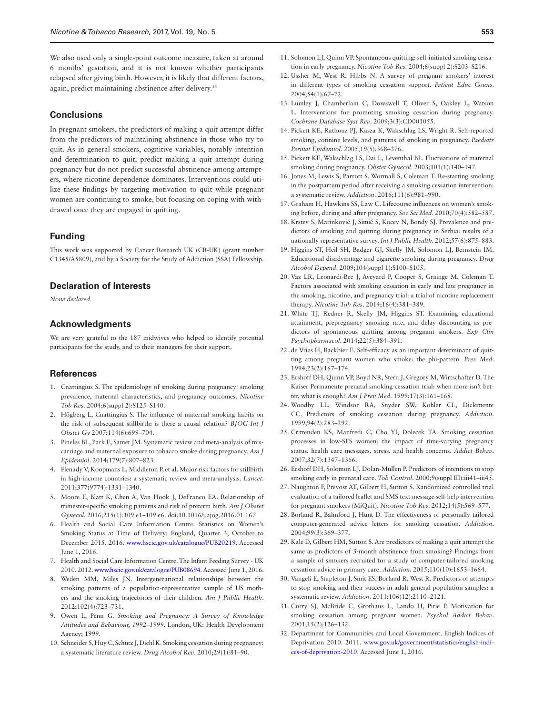We also used only a single-point outcome measure, taken at around 6 months' gestation, and it is not known whether participants relapsed after giving birth. However, it is likely that different factors, again, predict maintaining abstinence after delivery[.16](#page-6-12)

#### **Conclusions**

In pregnant smokers, the predictors of making a quit attempt differ from the predictors of maintaining abstinence in those who try to quit. As in general smokers, cognitive variables, notably intention and determination to quit, predict making a quit attempt during pregnancy but do not predict successful abstinence among attempters, where nicotine dependence dominates. Interventions could utilize these findings by targeting motivation to quit while pregnant women are continuing to smoke, but focusing on coping with withdrawal once they are engaged in quitting.

#### **Funding**

This work was supported by Cancer Research UK (CR-UK) (grant number C1345/A5809), and by a Society for the Study of Addiction (SSA) Fellowship.

#### **Declaration of Interests**

*None declared.*

#### **Acknowledgments**

We are very grateful to the 187 midwives who helped to identify potential participants for the study, and to their managers for their support.

#### **References**

- <span id="page-6-0"></span>1. Cnattingius S. The epidemiology of smoking during pregnancy: smoking prevalence, maternal characteristics, and pregnancy outcomes. *Nicotine Tob Res*. 2004;6(suppl 2):S125–S140.
- <span id="page-6-1"></span>2. Högberg L, Cnattingius S. The influence of maternal smoking habits on the risk of subsequent stillbirth: is there a causal relation? *BJOG-Int J Obstet Gy* 2007;114(6):699–704.
- <span id="page-6-2"></span>3. Pineles BL, Park E, Samet JM. Systematic review and meta-analysis of miscarriage and maternal exposure to tobacco smoke during pregnancy. *Am J Epidemiol*. 2014;179(7):807–823.
- <span id="page-6-3"></span>4. Flenady V, Koopmans L, Middleton P, et al. Major risk factors for stillbirth in high-income countries: a systematic review and meta-analysis. *Lancet*. 2011;377(9774):1331–1340.
- <span id="page-6-4"></span>5. Moore E, Blatt K, Chen A, Van Hook J, DeFranco EA. Relationship of trimester-specific smoking patterns and risk of preterm birth. *Am J Obstet Gynecol*. 2016;215(1):109.e1–109.e6. doi:10.1016/j.ajog.2016.01.167
- <span id="page-6-5"></span>6. Health and Social Care Information Centre. Statistics on Women's Smoking Status at Time of Delivery: England, Quarter 3, October to December 2015. 2016. [www.hscic.gov.uk/catalogue/PUB20219](http://www.hscic.gov.uk/catalogue/PUB20219). Accessed June 1, 2016.
- <span id="page-6-6"></span>7. Health and Social Care Information Centre. The Infant Feeding Survey - UK 2010. 2012. [www.hscic.gov.uk/catalogue/PUB08694](http://www.hscic.gov.uk/catalogue/PUB08694). Accessed June 1, 2016.
- <span id="page-6-7"></span>8. Weden MM, Miles JN. Intergenerational relationships between the smoking patterns of a population-representative sample of US mothers and the smoking trajectories of their children. *Am J Public Health*. 2012;102(4):723–731.
- <span id="page-6-8"></span>9. Owen L, Penn G. *Smoking and Pregnancy: A Survey of Knowledge Attitudes and Behaviour, 1992–1999*. London, UK: Health Development Agency; 1999.
- <span id="page-6-13"></span>10. Schneider S, Huy C, Schütz J, Diehl K. Smoking cessation during pregnancy: a systematic literature review. *Drug Alcohol Rev*. 2010;29(1):81–90.
- <span id="page-6-11"></span>11. Solomon LJ, Quinn VP. Spontaneous quitting: self-initiated smoking cessation in early pregnancy. *Nicotine Tob Res*. 2004;6(suppl 2):S203–S216.
- <span id="page-6-9"></span>12. Ussher M, West R, Hibbs N. A survey of pregnant smokers' interest in different types of smoking cessation support. *Patient Educ Couns*. 2004;54(1):67–72.
- <span id="page-6-10"></span>13. Lumley J, Chamberlain C, Dowswell T, Oliver S, Oakley L, Watson L. Interventions for promoting smoking cessation during pregnancy. *Cochrane Database Syst Rev*. 2009;3(3):CD001055.
- 14. Pickett KE, Rathouz PJ, Kasza K, Wakschlag LS, Wright R. Self-reported smoking, cotinine levels, and patterns of smoking in pregnancy. *Paediatr Perinat Epidemiol*. 2005;19(5):368–376.
- 15. Pickett KE, Wakschlag LS, Dai L, Leventhal BL. Fluctuations of maternal smoking during pregnancy. *Obstet Gynecol*. 2003;101(1):140–147.
- <span id="page-6-12"></span>16. Jones M, Lewis S, Parrott S, Wormall S, Coleman T. Re-starting smoking in the postpartum period after receiving a smoking cessation intervention: a systematic review. *Addiction*. 2016;111(6):981–990.
- <span id="page-6-14"></span>17. Graham H, Hawkins SS, Law C. Lifecourse influences on women's smoking before, during and after pregnancy. *Soc Sci Med*. 2010;70(4):582–587.
- <span id="page-6-15"></span>18. Krstev S, Marinković J, Simić S, Kocev N, Bondy SJ. Prevalence and predictors of smoking and quitting during pregnancy in Serbia: results of a nationally representative survey. *Int J Public Health*. 2012;57(6):875–883.
- <span id="page-6-16"></span>19. Higgins ST, Heil SH, Badger GJ, Skelly JM, Solomon LJ, Bernstein IM. Educational disadvantage and cigarette smoking during pregnancy. *Drug Alcohol Depend*. 2009;104(suppl 1):S100–S105.
- <span id="page-6-17"></span>20. Vaz LR, Leonardi-Bee J, Aveyard P, Cooper S, Grainge M, Coleman T. Factors associated with smoking cessation in early and late pregnancy in the smoking, nicotine, and pregnancy trial: a trial of nicotine replacement therapy. *Nicotine Tob Res*. 2014;16(4):381–389.
- <span id="page-6-20"></span>21. White TJ, Redner R, Skelly JM, Higgins ST. Examining educational attainment, prepregnancy smoking rate, and delay discounting as predictors of spontaneous quitting among pregnant smokers. *Exp Clin Psychopharmacol*. 2014;22(5):384–391.
- <span id="page-6-18"></span>22. de Vries H, Backbier E. Self-efficacy as an important determinant of quitting among pregnant women who smoke: the phi-pattern. *Prev Med*. 1994;23(2):167–174.
- 23. Ershoff DH, Quinn VP, Boyd NR, Stern J, Gregory M, Wirtschafter D. The Kaiser Permanente prenatal smoking-cessation trial: when more isn't better, what is enough? *Am J Prev Med*. 1999;17(3):161–168.
- 24. Woodby LL, Windsor RA, Snyder SW, Kohler CL, Diclemente CC. Predictors of smoking cessation during pregnancy. *Addiction*. 1999;94(2):283–292.
- <span id="page-6-19"></span>25. Crittenden KS, Manfredi C, Cho YI, Dolecek TA. Smoking cessation processes in low-SES women: the impact of time-varying pregnancy status, health care messages, stress, and health concerns. *Addict Behav*. 2007;32(7):1347–1366.
- <span id="page-6-21"></span>26. Ershoff DH, Solomon LJ, Dolan-Mullen P. Predictors of intentions to stop smoking early in prenatal care. *Tob Control*. 2000;9(suppl III):iii41–iii45.
- <span id="page-6-22"></span>27. Naughton F, Prevost AT, Gilbert H, Sutton S. Randomized controlled trial evaluation of a tailored leaflet and SMS text message self-help intervention for pregnant smokers (MiQuit). *Nicotine Tob Res*. 2012;14(5):569–577.
- <span id="page-6-23"></span>28. Borland R, Balmford J, Hunt D. The effectiveness of personally tailored computer-generated advice letters for smoking cessation. *Addiction*. 2004;99(3):369–377.
- <span id="page-6-24"></span>29. Kale D, Gilbert HM, Sutton S. Are predictors of making a quit attempt the same as predictors of 3-month abstinence from smoking? Findings from a sample of smokers recruited for a study of computer-tailored smoking cessation advice in primary care. *Addiction*. 2015;110(10):1653–1664.
- <span id="page-6-25"></span>30. Vangeli E, Stapleton J, Smit ES, Borland R, West R. Predictors of attempts to stop smoking and their success in adult general population samples: a systematic review. *Addiction*. 2011;106(12):2110–2121.
- <span id="page-6-26"></span>31. Curry SJ, McBride C, Grothaus L, Lando H, Pirie P. Motivation for smoking cessation among pregnant women. *Psychol Addict Behav*. 2001;15(2):126–132.
- <span id="page-6-27"></span>32. Department for Communities and Local Government. English Indices of Deprivation 2010. 2011. [www.gov.uk/government/statistics/english-indi](http://www.gov.uk/government/statistics/english-indices-of-deprivation-2010)[ces-of-deprivation-2010.](http://www.gov.uk/government/statistics/english-indices-of-deprivation-2010) Accessed June 1, 2016.